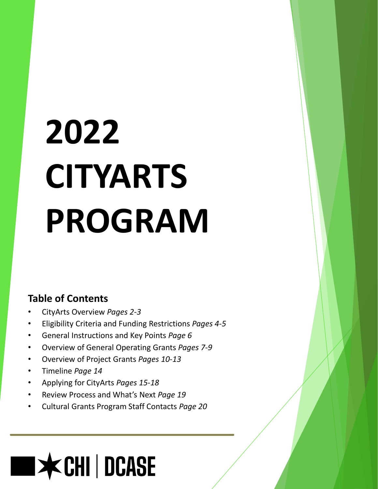# **2022 CITYARTS PROGRAM**

## **Table of Contents**

- CityArts Overview *Pages 2-3*
- Eligibility Criteria and Funding Restrictions *Pages 4-5*
- General Instructions and Key Points *Page 6*
- Overview of General Operating Grants *Pages 7-9*
- Overview of Project Grants *Pages 10-13*
- Timeline *Page 14*
- Applying for CityArts *Pages 15-18*
- Review Process and What's Next *Page 19*
- Cultural Grants Program Staff Contacts *Page 20*

## **ECHI | DCASE**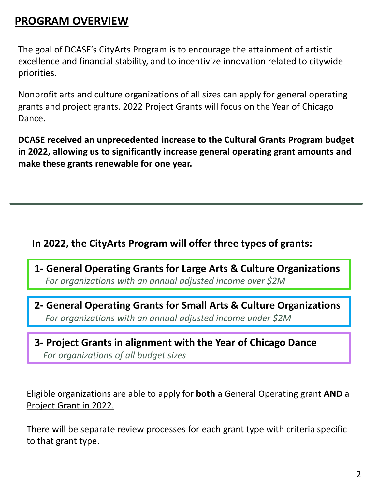## **PROGRAM OVERVIEW**

The goal of DCASE's CityArts Program is to encourage the attainment of artistic excellence and financial stability, and to incentivize innovation related to citywide priorities.

Nonprofit arts and culture organizations of all sizes can apply for general operating grants and project grants. 2022 Project Grants will focus on the Year of Chicago Dance.

**DCASE received an unprecedented increase to the Cultural Grants Program budget in 2022, allowing us to significantly increase general operating grant amounts and make these grants renewable for one year.**

#### **In 2022, the CityArts Program will offer three types of grants:**

- **1- General Operating Grants for Large Arts & Culture Organizations**  *For organizations with an annual adjusted income over \$2M*
- **2- General Operating Grants for Small Arts & Culture Organizations**  *For organizations with an annual adjusted income under \$2M*
- **3- Project Grants in alignment with the Year of Chicago Dance** *For organizations of all budget sizes*

#### Eligible organizations are able to apply for **both** a General Operating grant **AND** a Project Grant in 2022.

There will be separate review processes for each grant type with criteria specific to that grant type.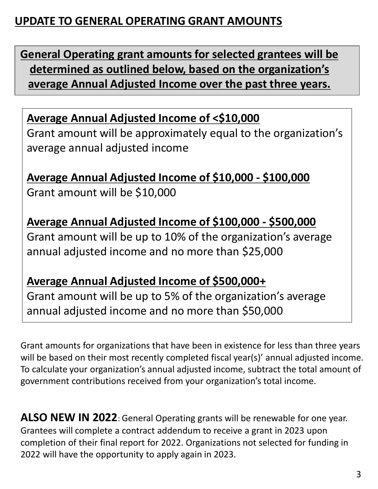## **UPDATE TO GENERAL OPERATING GRANT AMOUNTS**

**General Operating grant amounts for selected grantees will be determined as outlined below, based on the organization's average Annual Adjusted Income over the past three years.**

## **Average Annual Adjusted Income of <\$10,000**

Grant amount will be approximately equal to the organization's average annual adjusted income

**Average Annual Adjusted Income of \$10,000 - \$100,000**  Grant amount will be \$10,000

**Average Annual Adjusted Income of \$100,000 - \$500,000**  Grant amount will be up to 10% of the organization's average annual adjusted income and no more than \$25,000

## **Average Annual Adjusted Income of \$500,000+**

Grant amount will be up to 5% of the organization's average annual adjusted income and no more than \$50,000

Grant amounts for organizations that have been in existence for less than three years will be based on their most recently completed fiscal year(s)' annual adjusted income. To calculate your organization's annual adjusted income, subtract the total amount of government contributions received from your organization's total income.

**ALSO NEW IN 2022**: General Operating grants will be renewable for one year. Grantees will complete a contract addendum to receive a grant in 2023 upon completion of their final report for 2022. Organizations not selected for funding in 2022 will have the opportunity to apply again in 2023.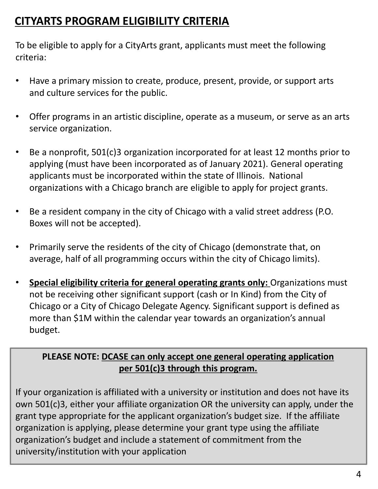## **CITYARTS PROGRAM ELIGIBILITY CRITERIA**

To be eligible to apply for a CityArts grant, applicants must meet the following criteria:

- Have a primary mission to create, produce, present, provide, or support arts and culture services for the public.
- Offer programs in an artistic discipline, operate as a museum, or serve as an arts service organization.
- Be a nonprofit, 501(c)3 organization incorporated for at least 12 months prior to applying (must have been incorporated as of January 2021). General operating applicants must be incorporated within the state of Illinois. National organizations with a Chicago branch are eligible to apply for project grants.
- Be a resident company in the city of Chicago with a valid street address (P.O. Boxes will not be accepted).
- Primarily serve the residents of the city of Chicago (demonstrate that, on average, half of all programming occurs within the city of Chicago limits).
- **Special eligibility criteria for general operating grants only:** Organizations must not be receiving other significant support (cash or In Kind) from the City of Chicago or a City of Chicago Delegate Agency. Significant support is defined as more than \$1M within the calendar year towards an organization's annual budget.

#### **PLEASE NOTE: DCASE can only accept one general operating application per 501(c)3 through this program.**

If your organization is affiliated with a university or institution and does not have its own 501(c)3, either your affiliate organization OR the university can apply, under the grant type appropriate for the applicant organization's budget size. If the affiliate organization is applying, please determine your grant type using the affiliate organization's budget and include a statement of commitment from the university/institution with your application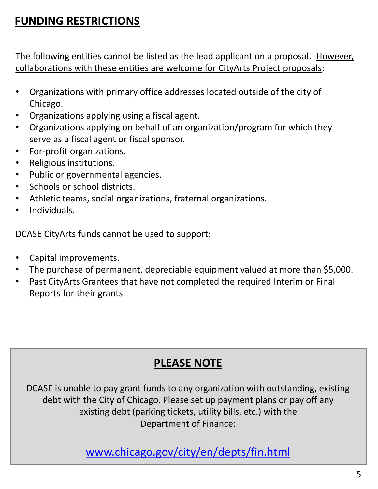## **FUNDING RESTRICTIONS**

The following entities cannot be listed as the lead applicant on a proposal. However, collaborations with these entities are welcome for CityArts Project proposals:

- Organizations with primary office addresses located outside of the city of Chicago.
- Organizations applying using a fiscal agent.
- Organizations applying on behalf of an organization/program for which they serve as a fiscal agent or fiscal sponsor.
- For-profit organizations.
- Religious institutions.
- Public or governmental agencies.
- Schools or school districts.
- Athletic teams, social organizations, fraternal organizations.
- Individuals.

DCASE CityArts funds cannot be used to support:

- Capital improvements.
- The purchase of permanent, depreciable equipment valued at more than \$5,000.
- Past CityArts Grantees that have not completed the required Interim or Final Reports for their grants.

## **PLEASE NOTE**

DCASE is unable to pay grant funds to any organization with outstanding, existing debt with the City of Chicago. Please set up payment plans or pay off any existing debt (parking tickets, utility bills, etc.) with the Department of Finance:

[www.chicago.gov/city/en/depts/fin.html](http://www.chicago.gov/city/en/depts/fin.html)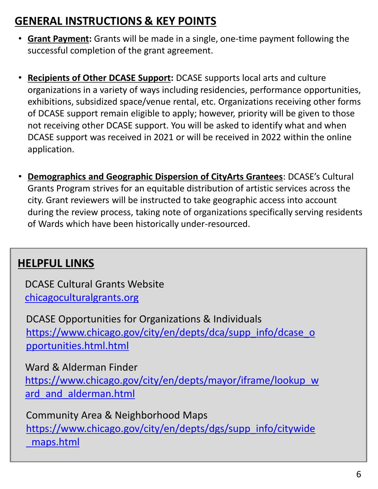## **GENERAL INSTRUCTIONS & KEY POINTS**

- **Grant Payment:** Grants will be made in a single, one-time payment following the successful completion of the grant agreement.
- **Recipients of Other DCASE Support:** DCASE supports local arts and culture organizations in a variety of ways including residencies, performance opportunities, exhibitions, subsidized space/venue rental, etc. Organizations receiving other forms of DCASE support remain eligible to apply; however, priority will be given to those not receiving other DCASE support. You will be asked to identify what and when DCASE support was received in 2021 or will be received in 2022 within the online application.
- **Demographics and Geographic Dispersion of CityArts Grantees**: DCASE's Cultural Grants Program strives for an equitable distribution of artistic services across the city. Grant reviewers will be instructed to take geographic access into account during the review process, taking note of organizations specifically serving residents of Wards which have been historically under-resourced.

## **HELPFUL LINKS**

DCASE Cultural Grants Website [chicagoculturalgrants.org](https://www.chicago.gov/city/en/depts/dca/culgrants.html) 

DCASE Opportunities for Organizations & Individuals [https://www.chicago.gov/city/en/depts/dca/supp\\_info/dcase\\_o](https://www.chicago.gov/city/en/depts/dca/supp_info/dcase_opportunities.html.html) pportunities.html.html

Ward & Alderman Finder [https://www.chicago.gov/city/en/depts/mayor/iframe/lookup\\_w](https://www.chicago.gov/city/en/depts/mayor/iframe/lookup_ward_and_alderman.html) ard\_and\_alderman.html

Community Area & Neighborhood Maps [https://www.chicago.gov/city/en/depts/dgs/supp\\_info/citywide](https://www.chicago.gov/city/en/depts/dgs/supp_info/citywide_maps.html) \_maps.html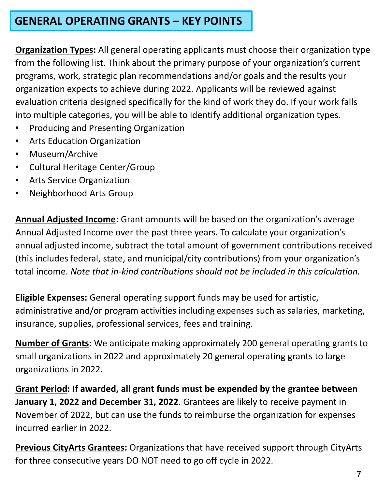## **GENERAL OPERATING GRANTS – KEY POINTS**

**Organization Types:** All general operating applicants must choose their organization type from the following list. Think about the primary purpose of your organization's current programs, work, strategic plan recommendations and/or goals and the results your organization expects to achieve during 2022. Applicants will be reviewed against evaluation criteria designed specifically for the kind of work they do. If your work falls into multiple categories, you will be able to identify additional organization types.

- Producing and Presenting Organization
- Arts Education Organization
- Museum/Archive
- Cultural Heritage Center/Group
- Arts Service Organization
- Neighborhood Arts Group

**Annual Adjusted Income**: Grant amounts will be based on the organization's average Annual Adjusted Income over the past three years. To calculate your organization's annual adjusted income, subtract the total amount of government contributions received (this includes federal, state, and municipal/city contributions) from your organization's total income. *Note that in-kind contributions should not be included in this calculation.* 

**Eligible Expenses:** General operating support funds may be used for artistic, administrative and/or program activities including expenses such as salaries, marketing, insurance, supplies, professional services, fees and training.

**Number of Grants:** We anticipate making approximately 200 general operating grants to small organizations in 2022 and approximately 20 general operating grants to large organizations in 2022.

**Grant Period: If awarded, all grant funds must be expended by the grantee between January 1, 2022 and December 31, 2022**. Grantees are likely to receive payment in November of 2022, but can use the funds to reimburse the organization for expenses incurred earlier in 2022.

**Previous CityArts Grantees:** Organizations that have received support through CityArts for three consecutive years DO NOT need to go off cycle in 2022.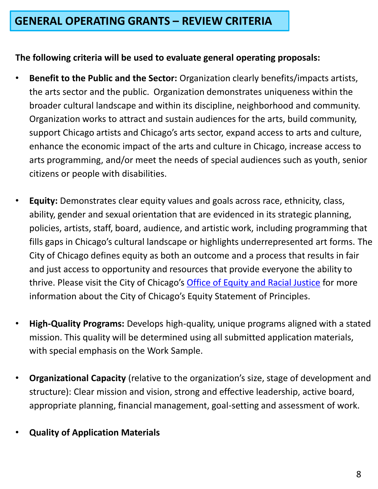#### **The following criteria will be used to evaluate general operating proposals:**

- **Benefit to the Public and the Sector:** Organization clearly benefits/impacts artists, the arts sector and the public. Organization demonstrates uniqueness within the broader cultural landscape and within its discipline, neighborhood and community. Organization works to attract and sustain audiences for the arts, build community, support Chicago artists and Chicago's arts sector, expand access to arts and culture, enhance the economic impact of the arts and culture in Chicago, increase access to arts programming, and/or meet the needs of special audiences such as youth, senior citizens or people with disabilities.
- **Equity:** Demonstrates clear equity values and goals across race, ethnicity, class, ability, gender and sexual orientation that are evidenced in its strategic planning, policies, artists, staff, board, audience, and artistic work, including programming that fills gaps in Chicago's cultural landscape or highlights underrepresented art forms. The City of Chicago defines equity as both an outcome and a process that results in fair and just access to opportunity and resources that provide everyone the ability to thrive. Please visit the City of Chicago's [Office of Equity and Racial Justice](https://www.chicago.gov/city/en/sites/office-of-equity-and-racial-justice/home/Equitystatement.html) for more information about the City of Chicago's Equity Statement of Principles.
- **High-Quality Programs:** Develops high-quality, unique programs aligned with a stated mission. This quality will be determined using all submitted application materials, with special emphasis on the Work Sample.
- **Organizational Capacity** (relative to the organization's size, stage of development and structure): Clear mission and vision, strong and effective leadership, active board, appropriate planning, financial management, goal-setting and assessment of work.
- **Quality of Application Materials**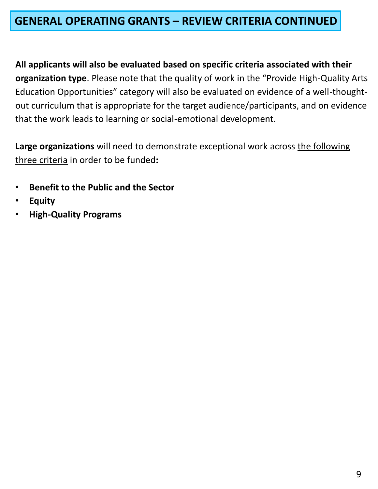## **GENERAL OPERATING GRANTS – REVIEW CRITERIA CONTINUED**

**All applicants will also be evaluated based on specific criteria associated with their organization type**. Please note that the quality of work in the "Provide High-Quality Arts Education Opportunities" category will also be evaluated on evidence of a well-thoughtout curriculum that is appropriate for the target audience/participants, and on evidence that the work leads to learning or social-emotional development.

**Large organizations** will need to demonstrate exceptional work across the following three criteria in order to be funded**:**

- **Benefit to the Public and the Sector**
- **Equity**
- **High-Quality Programs**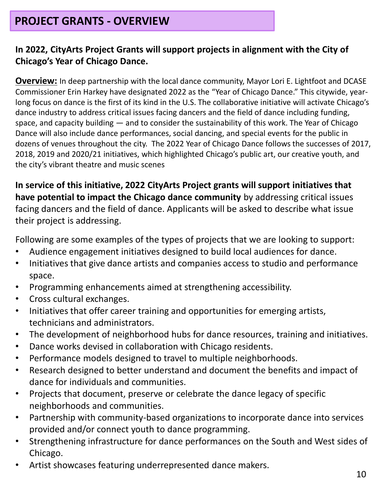## **PROJECT GRANTS - OVERVIEW**

#### **In 2022, CityArts Project Grants will support projects in alignment with the City of Chicago's Year of Chicago Dance.**

**Overview:** In deep partnership with the local dance community, Mayor Lori E. Lightfoot and DCASE Commissioner Erin Harkey have designated 2022 as the "Year of Chicago Dance." This citywide, yearlong focus on dance is the first of its kind in the U.S. The collaborative initiative will activate Chicago's dance industry to address critical issues facing dancers and the field of dance including funding, space, and capacity building — and to consider the sustainability of this work. The Year of Chicago Dance will also include dance performances, social dancing, and special events for the public in dozens of venues throughout the city. The 2022 Year of Chicago Dance follows the successes of 2017, 2018, 2019 and 2020/21 initiatives, which highlighted Chicago's public art, our creative youth, and the city's vibrant theatre and music scenes

**In service of this initiative, 2022 CityArts Project grants will support initiatives that have potential to impact the Chicago dance community** by addressing critical issues facing dancers and the field of dance. Applicants will be asked to describe what issue their project is addressing.

Following are some examples of the types of projects that we are looking to support:

- Audience engagement initiatives designed to build local audiences for dance.
- Initiatives that give dance artists and companies access to studio and performance space.
- Programming enhancements aimed at strengthening accessibility.
- Cross cultural exchanges.
- Initiatives that offer career training and opportunities for emerging artists, technicians and administrators.
- The development of neighborhood hubs for dance resources, training and initiatives.
- Dance works devised in collaboration with Chicago residents.
- Performance models designed to travel to multiple neighborhoods.
- Research designed to better understand and document the benefits and impact of dance for individuals and communities.
- Projects that document, preserve or celebrate the dance legacy of specific neighborhoods and communities.
- Partnership with community-based organizations to incorporate dance into services provided and/or connect youth to dance programming.
- Strengthening infrastructure for dance performances on the South and West sides of Chicago.
- Artist showcases featuring underrepresented dance makers.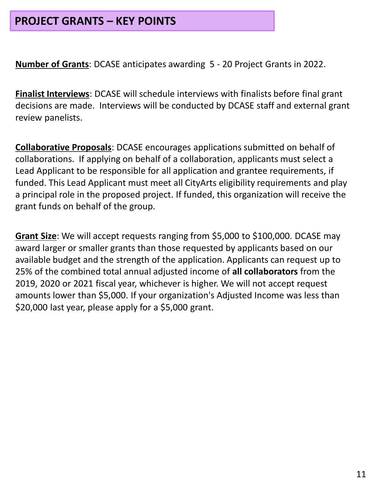### **PROJECT GRANTS – KEY POINTS**

**Number of Grants**: DCASE anticipates awarding 5 - 20 Project Grants in 2022.

**Finalist Interviews**: DCASE will schedule interviews with finalists before final grant decisions are made. Interviews will be conducted by DCASE staff and external grant review panelists.

**Collaborative Proposals**: DCASE encourages applications submitted on behalf of collaborations. If applying on behalf of a collaboration, applicants must select a Lead Applicant to be responsible for all application and grantee requirements, if funded. This Lead Applicant must meet all CityArts eligibility requirements and play a principal role in the proposed project. If funded, this organization will receive the grant funds on behalf of the group.

**Grant Size**: We will accept requests ranging from \$5,000 to \$100,000. DCASE may award larger or smaller grants than those requested by applicants based on our available budget and the strength of the application. Applicants can request up to 25% of the combined total annual adjusted income of **all collaborators** from the 2019, 2020 or 2021 fiscal year, whichever is higher. We will not accept request amounts lower than \$5,000. If your organization's Adjusted Income was less than \$20,000 last year, please apply for a \$5,000 grant.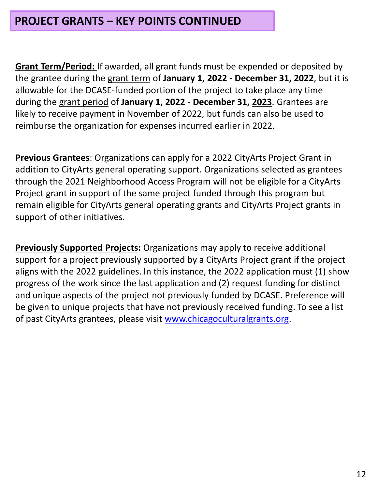### **PROJECT GRANTS – KEY POINTS CONTINUED**

**Grant Term/Period:** If awarded, all grant funds must be expended or deposited by the grantee during the grant term of **January 1, 2022 - December 31, 2022**, but it is allowable for the DCASE-funded portion of the project to take place any time during the grant period of **January 1, 2022 - December 31, 2023**. Grantees are likely to receive payment in November of 2022, but funds can also be used to reimburse the organization for expenses incurred earlier in 2022.

**Previous Grantees**: Organizations can apply for a 2022 CityArts Project Grant in addition to CityArts general operating support. Organizations selected as grantees through the 2021 Neighborhood Access Program will not be eligible for a CityArts Project grant in support of the same project funded through this program but remain eligible for CityArts general operating grants and CityArts Project grants in support of other initiatives.

**Previously Supported Projects:** Organizations may apply to receive additional support for a project previously supported by a CityArts Project grant if the project aligns with the 2022 guidelines. In this instance, the 2022 application must (1) show progress of the work since the last application and (2) request funding for distinct and unique aspects of the project not previously funded by DCASE. Preference will be given to unique projects that have not previously received funding. To see a list of past CityArts grantees, please visit [www.chicagoculturalgrants.org](http://www.chicagoculturalgrants.org/).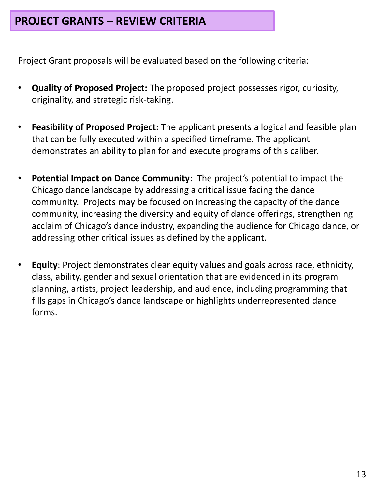## **PROJECT GRANTS – REVIEW CRITERIA**

Project Grant proposals will be evaluated based on the following criteria:

- **Quality of Proposed Project:** The proposed project possesses rigor, curiosity, originality, and strategic risk-taking.
- **Feasibility of Proposed Project:** The applicant presents a logical and feasible plan that can be fully executed within a specified timeframe. The applicant demonstrates an ability to plan for and execute programs of this caliber.
- **Potential Impact on Dance Community**: The project's potential to impact the Chicago dance landscape by addressing a critical issue facing the dance community. Projects may be focused on increasing the capacity of the dance community, increasing the diversity and equity of dance offerings, strengthening acclaim of Chicago's dance industry, expanding the audience for Chicago dance, or addressing other critical issues as defined by the applicant.
- **Equity**: Project demonstrates clear equity values and goals across race, ethnicity, class, ability, gender and sexual orientation that are evidenced in its program planning, artists, project leadership, and audience, including programming that fills gaps in Chicago's dance landscape or highlights underrepresented dance forms.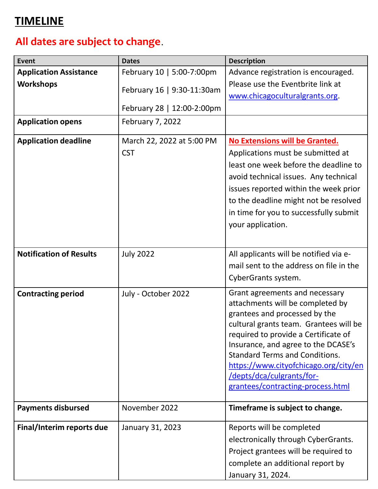## **TIMELINE**

## **All dates are subject to change**.

| Event                          | <b>Dates</b>               | <b>Description</b>                                                 |
|--------------------------------|----------------------------|--------------------------------------------------------------------|
| <b>Application Assistance</b>  | February 10   5:00-7:00pm  | Advance registration is encouraged.                                |
| <b>Workshops</b>               |                            | Please use the Eventbrite link at                                  |
|                                | February 16   9:30-11:30am | www.chicagoculturalgrants.org.                                     |
|                                | February 28   12:00-2:00pm |                                                                    |
| <b>Application opens</b>       | <b>February 7, 2022</b>    |                                                                    |
| <b>Application deadline</b>    | March 22, 2022 at 5:00 PM  | No Extensions will be Granted.                                     |
|                                | <b>CST</b>                 | Applications must be submitted at                                  |
|                                |                            | least one week before the deadline to                              |
|                                |                            | avoid technical issues. Any technical                              |
|                                |                            | issues reported within the week prior                              |
|                                |                            | to the deadline might not be resolved                              |
|                                |                            | in time for you to successfully submit                             |
|                                |                            | your application.                                                  |
|                                |                            |                                                                    |
| <b>Notification of Results</b> | <b>July 2022</b>           | All applicants will be notified via e-                             |
|                                |                            | mail sent to the address on file in the                            |
|                                |                            | CyberGrants system.                                                |
|                                |                            |                                                                    |
| <b>Contracting period</b>      | July - October 2022        | Grant agreements and necessary<br>attachments will be completed by |
|                                |                            | grantees and processed by the                                      |
|                                |                            | cultural grants team. Grantees will be                             |
|                                |                            | required to provide a Certificate of                               |
|                                |                            | Insurance, and agree to the DCASE's                                |
|                                |                            | <b>Standard Terms and Conditions.</b>                              |
|                                |                            | https://www.cityofchicago.org/city/en<br>/depts/dca/culgrants/for- |
|                                |                            | grantees/contracting-process.html                                  |
|                                |                            |                                                                    |
| <b>Payments disbursed</b>      | November 2022              | Timeframe is subject to change.                                    |
| Final/Interim reports due      | January 31, 2023           | Reports will be completed                                          |
|                                |                            | electronically through CyberGrants.                                |
|                                |                            | Project grantees will be required to                               |
|                                |                            | complete an additional report by                                   |
|                                |                            | January 31, 2024.                                                  |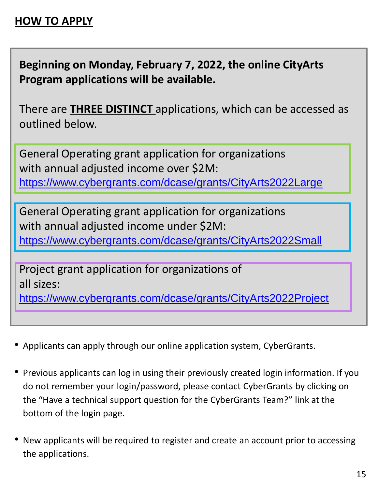## **HOW TO APPLY**

**Beginning on Monday, February 7, 2022, the online CityArts Program applications will be available.**

There are **THREE DISTINCT** applications, which can be accessed as outlined below.

General Operating grant application for organizations with annual adjusted income over \$2M: <https://www.cybergrants.com/dcase/grants/CityArts2022Large>

General Operating grant application for organizations with annual adjusted income under \$2M: <https://www.cybergrants.com/dcase/grants/CityArts2022Small>

Project grant application for organizations of all sizes:

<https://www.cybergrants.com/dcase/grants/CityArts2022Project>

- Applicants can apply through our online application system, CyberGrants.
- Previous applicants can log in using their previously created login information. If you do not remember your login/password, please contact CyberGrants by clicking on the "Have a technical support question for the CyberGrants Team?" link at the bottom of the login page.
- New applicants will be required to register and create an account prior to accessing the applications.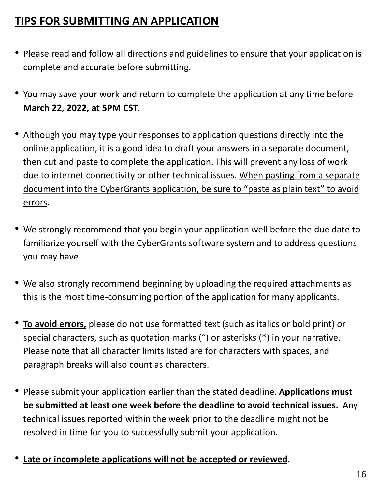## **TIPS FOR SUBMITTING AN APPLICATION**

- Please read and follow all directions and guidelines to ensure that your application is complete and accurate before submitting.
- You may save your work and return to complete the application at any time before **March 22, 2022, at 5PM CST**.
- Although you may type your responses to application questions directly into the online application, it is a good idea to draft your answers in a separate document, then cut and paste to complete the application. This will prevent any loss of work due to internet connectivity or other technical issues. When pasting from a separate document into the CyberGrants application, be sure to "paste as plain text" to avoid errors.
- We strongly recommend that you begin your application well before the due date to familiarize yourself with the CyberGrants software system and to address questions you may have.
- We also strongly recommend beginning by uploading the required attachments as this is the most time-consuming portion of the application for many applicants.
- **To avoid errors,** please do not use formatted text (such as italics or bold print) or special characters, such as quotation marks (") or asterisks (\*) in your narrative. Please note that all character limits listed are for characters with spaces, and paragraph breaks will also count as characters.
- Please submit your application earlier than the stated deadline. **Applications must be submitted at least one week before the deadline to avoid technical issues.** Any technical issues reported within the week prior to the deadline might not be resolved in time for you to successfully submit your application.
- **Late or incomplete applications will not be accepted or reviewed.**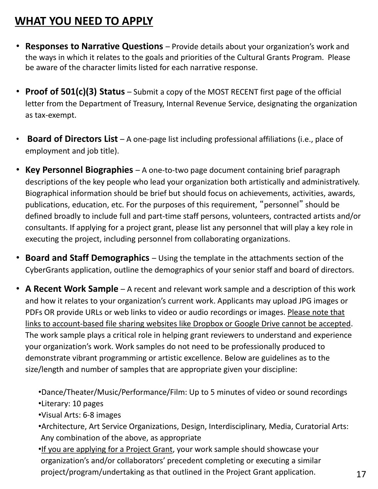## **WHAT YOU NEED TO APPLY**

- **Responses to Narrative Questions**  Provide details about your organization's work and the ways in which it relates to the goals and priorities of the Cultural Grants Program. Please be aware of the character limits listed for each narrative response.
- **Proof of 501(c)(3) Status** Submit a copy of the MOST RECENT first page of the official letter from the Department of Treasury, Internal Revenue Service, designating the organization as tax-exempt.
- **Board of Directors List**  A one-page list including professional affiliations (i.e., place of employment and job title).
- **Key Personnel Biographies**  A one-to-two page document containing brief paragraph descriptions of the key people who lead your organization both artistically and administratively. Biographical information should be brief but should focus on achievements, activities, awards, publications, education, etc. For the purposes of this requirement, "personnel" should be defined broadly to include full and part-time staff persons, volunteers, contracted artists and/or consultants. If applying for a project grant, please list any personnel that will play a key role in executing the project, including personnel from collaborating organizations.
- **Board and Staff Demographics**  Using the template in the attachments section of the CyberGrants application, outline the demographics of your senior staff and board of directors.
- **A Recent Work Sample**  A recent and relevant work sample and a description of this work and how it relates to your organization's current work. Applicants may upload JPG images or PDFs OR provide URLs or web links to video or audio recordings or images. Please note that links to account-based file sharing websites like Dropbox or Google Drive cannot be accepted. The work sample plays a critical role in helping grant reviewers to understand and experience your organization's work. Work samples do not need to be professionally produced to demonstrate vibrant programming or artistic excellence. Below are guidelines as to the size/length and number of samples that are appropriate given your discipline:

•Dance/Theater/Music/Performance/Film: Up to 5 minutes of video or sound recordings

- •Literary: 10 pages
- •Visual Arts: 6-8 images
- •Architecture, Art Service Organizations, Design, Interdisciplinary, Media, Curatorial Arts: Any combination of the above, as appropriate
- •If you are applying for a Project Grant, your work sample should showcase your organization's and/or collaborators' precedent completing or executing a similar project/program/undertaking as that outlined in the Project Grant application.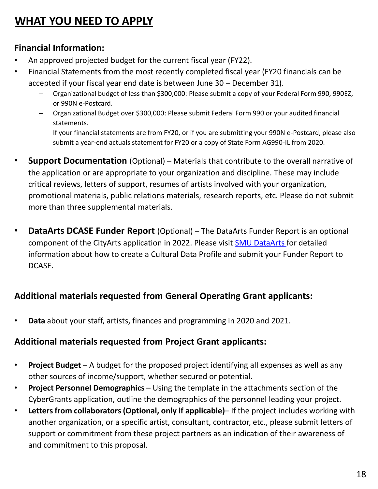## **WHAT YOU NEED TO APPLY**

#### **Financial Information:**

- An approved projected budget for the current fiscal year (FY22).
- Financial Statements from the most recently completed fiscal year (FY20 financials can be accepted if your fiscal year end date is between June 30 – December 31).
	- Organizational budget of less than \$300,000: Please submit a copy of your Federal Form 990, 990EZ, or 990N e-Postcard.
	- Organizational Budget over \$300,000: Please submit Federal Form 990 or your audited financial statements.
	- If your financial statements are from FY20, or if you are submitting your 990N e-Postcard, please also submit a year-end actuals statement for FY20 or a copy of State Form AG990-IL from 2020.
- **Support Documentation** (Optional) Materials that contribute to the overall narrative of the application or are appropriate to your organization and discipline. These may include critical reviews, letters of support, resumes of artists involved with your organization, promotional materials, public relations materials, research reports, etc. Please do not submit more than three supplemental materials.
- **DataArts DCASE Funder Report** (Optional) The DataArts Funder Report is an optional component of the CityArts application in 2022. Please visit [SMU DataArts](https://www.culturaldata.org/get-started/) for detailed information about how to create a Cultural Data Profile and submit your Funder Report to DCASE.

#### **Additional materials requested from General Operating Grant applicants:**

• **Data** about your staff, artists, finances and programming in 2020 and 2021.

#### **Additional materials requested from Project Grant applicants:**

- **Project Budget** A budget for the proposed project identifying all expenses as well as any other sources of income/support, whether secured or potential.
- **Project Personnel Demographics**  Using the template in the attachments section of the CyberGrants application, outline the demographics of the personnel leading your project.
- **Letters from collaborators (Optional, only if applicable)** If the project includes working with another organization, or a specific artist, consultant, contractor, etc., please submit letters of support or commitment from these project partners as an indication of their awareness of and commitment to this proposal.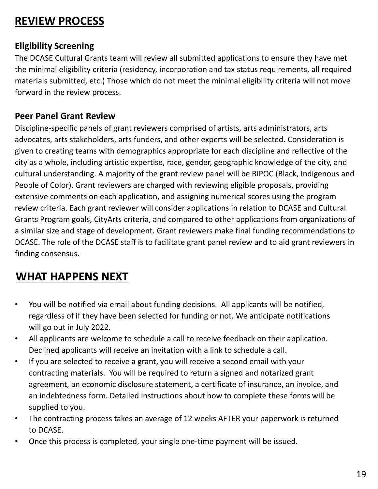## **REVIEW PROCESS**

#### **Eligibility Screening**

The DCASE Cultural Grants team will review all submitted applications to ensure they have met the minimal eligibility criteria (residency, incorporation and tax status requirements, all required materials submitted, etc.) Those which do not meet the minimal eligibility criteria will not move forward in the review process.

#### **Peer Panel Grant Review**

Discipline-specific panels of grant reviewers comprised of artists, arts administrators, arts advocates, arts stakeholders, arts funders, and other experts will be selected. Consideration is given to creating teams with demographics appropriate for each discipline and reflective of the city as a whole, including artistic expertise, race, gender, geographic knowledge of the city, and cultural understanding. A majority of the grant review panel will be BIPOC (Black, Indigenous and People of Color). Grant reviewers are charged with reviewing eligible proposals, providing extensive comments on each application, and assigning numerical scores using the program review criteria. Each grant reviewer will consider applications in relation to DCASE and Cultural Grants Program goals, CityArts criteria, and compared to other applications from organizations of a similar size and stage of development. Grant reviewers make final funding recommendations to DCASE. The role of the DCASE staff is to facilitate grant panel review and to aid grant reviewers in finding consensus.

## **WHAT HAPPENS NEXT**

- You will be notified via email about funding decisions. All applicants will be notified, regardless of if they have been selected for funding or not. We anticipate notifications will go out in July 2022.
- All applicants are welcome to schedule a call to receive feedback on their application. Declined applicants will receive an invitation with a link to schedule a call.
- If you are selected to receive a grant, you will receive a second email with your contracting materials. You will be required to return a signed and notarized grant agreement, an economic disclosure statement, a certificate of insurance, an invoice, and an indebtedness form. Detailed instructions about how to complete these forms will be supplied to you.
- The contracting process takes an average of 12 weeks AFTER your paperwork is returned to DCASE.
- Once this process is completed, your single one-time payment will be issued.